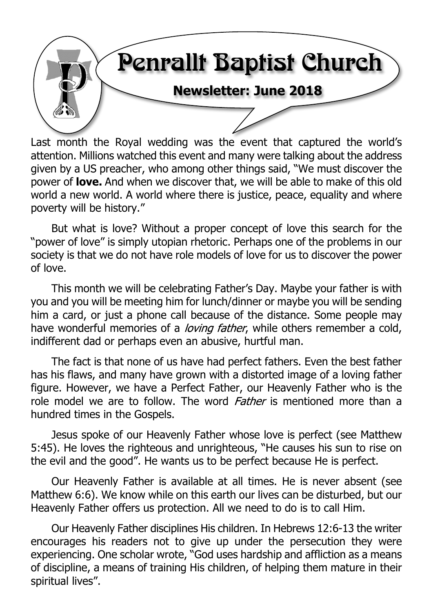

Last month the Royal wedding was the event that captured the world's attention. Millions watched this event and many were talking about the address given by a US preacher, who among other things said, "We must discover the power of **love.** And when we discover that, we will be able to make of this old world a new world. A world where there is justice, peace, equality and where poverty will be history."

But what is love? Without a proper concept of love this search for the "power of love" is simply utopian rhetoric. Perhaps one of the problems in our society is that we do not have role models of love for us to discover the power of love.

This month we will be celebrating Father's Day. Maybe your father is with you and you will be meeting him for lunch/dinner or maybe you will be sending him a card, or just a phone call because of the distance. Some people may have wonderful memories of a *loving father*, while others remember a cold, indifferent dad or perhaps even an abusive, hurtful man.

The fact is that none of us have had perfect fathers. Even the best father has his flaws, and many have grown with a distorted image of a loving father figure. However, we have a Perfect Father, our Heavenly Father who is the role model we are to follow. The word *Father* is mentioned more than a hundred times in the Gospels.

Jesus spoke of our Heavenly Father whose love is perfect (see Matthew 5:45). He loves the righteous and unrighteous, "He causes his sun to rise on the evil and the good". He wants us to be perfect because He is perfect.

Our Heavenly Father is available at all times. He is never absent (see Matthew 6:6). We know while on this earth our lives can be disturbed, but our Heavenly Father offers us protection. All we need to do is to call Him.

Our Heavenly Father disciplines His children. In Hebrews 12:6-13 the writer encourages his readers not to give up under the persecution they were experiencing. One scholar wrote, "God uses hardship and affliction as a means of discipline, a means of training His children, of helping them mature in their spiritual lives".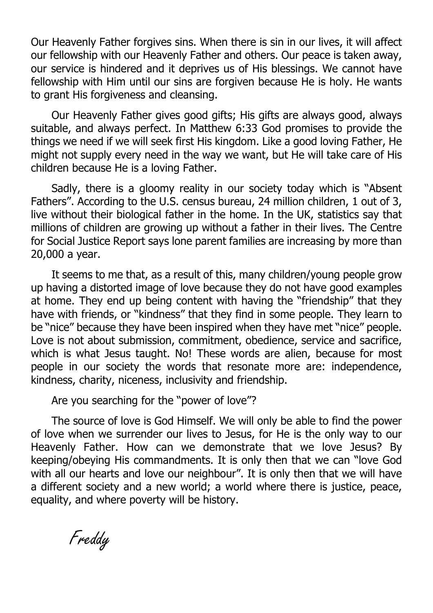Our Heavenly Father forgives sins. When there is sin in our lives, it will affect our fellowship with our Heavenly Father and others. Our peace is taken away, our service is hindered and it deprives us of His blessings. We cannot have fellowship with Him until our sins are forgiven because He is holy. He wants to grant His forgiveness and cleansing.

Our Heavenly Father gives good gifts; His gifts are always good, always suitable, and always perfect. In Matthew 6:33 God promises to provide the things we need if we will seek first His kingdom. Like a good loving Father, He might not supply every need in the way we want, but He will take care of His children because He is a loving Father.

Sadly, there is a gloomy reality in our society today which is "Absent Fathers". According to the U.S. census bureau, 24 million children, 1 out of 3, live without their biological father in the home. In the UK, statistics say that millions of children are growing up without a father in their lives. The Centre for Social Justice Report says lone parent families are increasing by more than 20,000 a year.

It seems to me that, as a result of this, many children/young people grow up having a distorted image of love because they do not have good examples at home. They end up being content with having the "friendship" that they have with friends, or "kindness" that they find in some people. They learn to be "nice" because they have been inspired when they have met "nice" people. Love is not about submission, commitment, obedience, service and sacrifice, which is what Jesus taught. No! These words are alien, because for most people in our society the words that resonate more are: independence, kindness, charity, niceness, inclusivity and friendship.

Are you searching for the "power of love"?

The source of love is God Himself. We will only be able to find the power of love when we surrender our lives to Jesus, for He is the only way to our Heavenly Father. How can we demonstrate that we love Jesus? By keeping/obeying His commandments. It is only then that we can "love God with all our hearts and love our neighbour". It is only then that we will have a different society and a new world; a world where there is justice, peace, equality, and where poverty will be history.

Freddy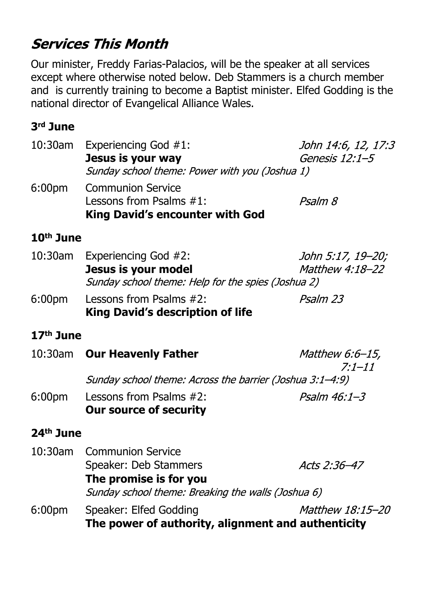## **Services This Month**

Our minister, Freddy Farias-Palacios, will be the speaker at all services except where otherwise noted below. Deb Stammers is a church member and is currently training to become a Baptist minister. Elfed Godding is the national director of Evangelical Alliance Wales.

#### **3rd June**

| $10:30$ am         | <b>Experiencing God #1:</b>                    | John 14:6, 12, 17:3 |  |
|--------------------|------------------------------------------------|---------------------|--|
|                    | Jesus is your way                              | Genesis 12:1-5      |  |
|                    | Sunday school theme: Power with you (Joshua 1) |                     |  |
| 6:00 <sub>pm</sub> | <b>Communion Service</b>                       |                     |  |
|                    | Lessons from Psalms $#1$ :                     | Psalm 8             |  |
|                    | King David's encounter with God                |                     |  |
|                    |                                                |                     |  |

#### **10th June**

|                    | 10:30am Experiencing God #2:                       | John 5:17, 19–20;      |
|--------------------|----------------------------------------------------|------------------------|
|                    | Jesus is your model                                | <i>Matthew 4:18-22</i> |
|                    | Sunday school theme: Help for the spies (Joshua 2) |                        |
| 6:00 <sub>pm</sub> | Lessons from Psalms #2:                            | Psalm 23               |

#### 6:00pm Lessons from Psalms #2: **King David's description of life**

#### **17th June**

|                       | 10:30am Our Heavenly Father                                                  | <i>Matthew 6:6-15,</i><br>$7:1 - 11$ |  |
|-----------------------|------------------------------------------------------------------------------|--------------------------------------|--|
|                       | Sunday school theme: Across the barrier (Joshua 3:1–4:9)                     |                                      |  |
| 6:00 <sub>pm</sub>    | Lessons from Psalms $#2$ :<br><b>Our source of security</b>                  | $P$ salm 46:1-3                      |  |
| 24 <sup>th</sup> June |                                                                              |                                      |  |
|                       | 10:30am Communion Service                                                    |                                      |  |
|                       | Speaker: Deb Stammers                                                        | Acts 2:36-47                         |  |
|                       | The promise is for you<br>Sunday school theme: Breaking the walls (Joshua 6) |                                      |  |
| 6:00 <sub>pm</sub>    | Speaker: Elfed Godding<br>The power of authority, alignment and authenticity | <i>Matthew 18:15-20</i>              |  |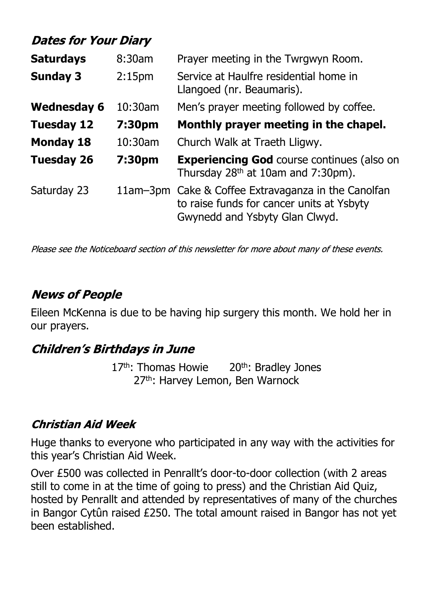## **Dates for Your Diary**

| <b>Saturdays</b>   | Prayer meeting in the Twrgwyn Room.<br>8:30am |                                                                                                                                    |
|--------------------|-----------------------------------------------|------------------------------------------------------------------------------------------------------------------------------------|
| <b>Sunday 3</b>    | 2:15 <sub>pm</sub>                            | Service at Haulfre residential home in<br>Llangoed (nr. Beaumaris).                                                                |
| <b>Wednesday 6</b> | $10:30$ am                                    | Men's prayer meeting followed by coffee.                                                                                           |
| <b>Tuesday 12</b>  | 7:30pm                                        | Monthly prayer meeting in the chapel.                                                                                              |
| <b>Monday 18</b>   | 10:30am                                       | Church Walk at Traeth Lligwy.                                                                                                      |
| <b>Tuesday 26</b>  | 7:30pm                                        | <b>Experiencing God course continues (also on</b><br>Thursday $28th$ at 10am and 7:30pm).                                          |
| Saturday 23        |                                               | 11am-3pm Cake & Coffee Extravaganza in the Canolfan<br>to raise funds for cancer units at Ysbyty<br>Gwynedd and Ysbyty Glan Clwyd. |

Please see the Noticeboard section of this newsletter for more about many of these events.

### **News of People**

Eileen McKenna is due to be having hip surgery this month. We hold her in our prayers.

#### **Children's Birthdays in June**

 $17<sup>th</sup>$ : Thomas Howie  $20<sup>th</sup>$ : Bradley Jones 27<sup>th</sup>: Harvey Lemon, Ben Warnock

#### **Christian Aid Week**

Huge thanks to everyone who participated in any way with the activities for this year's Christian Aid Week.

Over £500 was collected in Penrallt's door-to-door collection (with 2 areas still to come in at the time of going to press) and the Christian Aid Quiz, hosted by Penrallt and attended by representatives of many of the churches in Bangor Cytûn raised £250. The total amount raised in Bangor has not yet been established.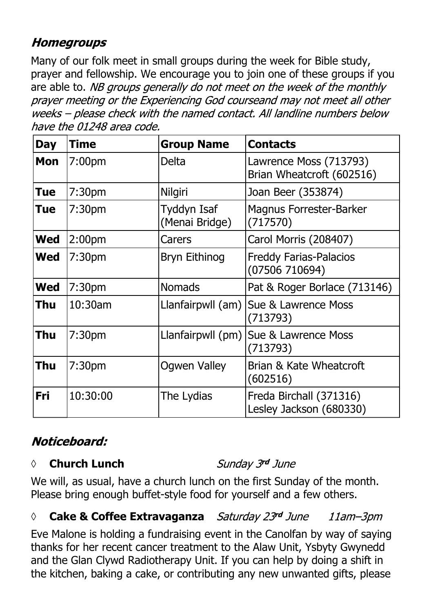## **Homegroups**

Many of our folk meet in small groups during the week for Bible study, prayer and fellowship. We encourage you to join one of these groups if you are able to. NB groups generally do not meet on the week of the monthly prayer meeting or the Experiencing God courseand may not meet all other weeks - please check with the named contact. All landline numbers below have the 01248 area code.

| <b>Day</b> | <b>Time</b>        | <b>Group Name</b>             | <b>Contacts</b>                                     |
|------------|--------------------|-------------------------------|-----------------------------------------------------|
| <b>Mon</b> | 7:00 <sub>pm</sub> | <b>Delta</b>                  | Lawrence Moss (713793)<br>Brian Wheatcroft (602516) |
| Tue        | 7:30 <sub>pm</sub> | Nilgiri                       | Joan Beer (353874)                                  |
| Tue        | 7:30 <sub>pm</sub> | Tyddyn Isaf<br>(Menai Bridge) | <b>Magnus Forrester-Barker</b><br>(717570)          |
| <b>Wed</b> | 2:00 <sub>pm</sub> | Carers                        | Carol Morris (208407)                               |
| <b>Wed</b> | 7:30 <sub>pm</sub> | Bryn Eithinog                 | <b>Freddy Farias-Palacios</b><br>(07506710694)      |
| <b>Wed</b> | 7:30 <sub>pm</sub> | <b>Nomads</b>                 | Pat & Roger Borlace (713146)                        |
| Thu        | 10:30am            | Llanfairpwll (am)             | Sue & Lawrence Moss<br>(713793)                     |
| Thu        | 7:30 <sub>pm</sub> | Llanfairpwll (pm)             | Sue & Lawrence Moss<br>(713793)                     |
| Thu        | 7:30 <sub>pm</sub> | <b>Ogwen Valley</b>           | Brian & Kate Wheatcroft<br>(602516)                 |
| Fri        | 10:30:00           | The Lydias                    | Freda Birchall (371316)<br>Lesley Jackson (680330)  |

## Noticeboard:

#### **◊ Church Lunch**

Sunday 3rd June

We will, as usual, have a church lunch on the first Sunday of the month. Please bring enough buffet-style food for yourself and a few others.

#### *◊* **Cake & Coffee Extravaganza** 11am-3pm

Eve Malone is holding a fundraising event in the Canolfan by way of saying thanks for her recent cancer treatment to the Alaw Unit, Ysbyty Gwynedd and the Glan Clywd Radiotherapy Unit. If you can help by doing a shift in the kitchen, baking a cake, or contributing any new unwanted gifts, please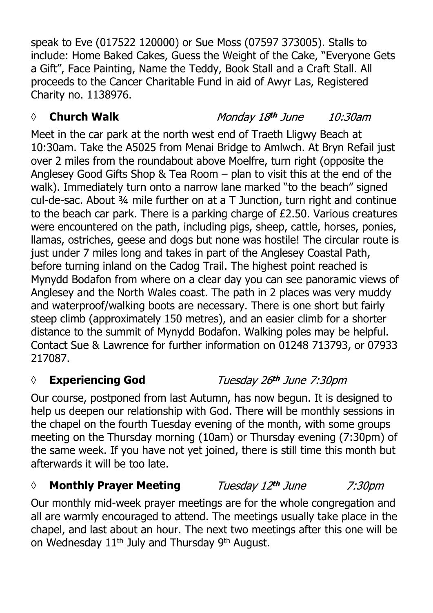speak to Eve (017522 120000) or Sue Moss (07597 373005). Stalls to include: Home Baked Cakes, Guess the Weight of the Cake, "Everyone Gets a Gift", Face Painting, Name the Teddy, Book Stall and a Craft Stall. All proceeds to the Cancer Charitable Fund in aid of Awyr Las, Registered Charity no. 1138976.

#### *◊* **Church Walk**

#### Monday 18th June 10:30am

Meet in the car park at the north west end of Traeth Lligwy Beach at 10:30am. Take the A5025 from Menai Bridge to Amlwch. At Bryn Refail just over 2 miles from the roundabout above Moelfre, turn right (opposite the Anglesey Good Gifts Shop & Tea Room – plan to visit this at the end of the walk). Immediately turn onto a narrow lane marked "to the beach" signed cul-de-sac. About ¾ mile further on at a T Junction, turn right and continue to the beach car park. There is a parking charge of £2.50. Various creatures were encountered on the path, including pigs, sheep, cattle, horses, ponies, llamas, ostriches, geese and dogs but none was hostile! The circular route is just under 7 miles long and takes in part of the Anglesey Coastal Path, before turning inland on the Cadog Trail. The highest point reached is Mynydd Bodafon from where on a clear day you can see panoramic views of Anglesey and the North Wales coast. The path in 2 places was very muddy and waterproof/walking boots are necessary. There is one short but fairly steep climb (approximately 150 metres), and an easier climb for a shorter distance to the summit of Mynydd Bodafon. Walking poles may be helpful. Contact Sue & Lawrence for further information on 01248 713793, or 07933 217087.

#### *◊* **Experiencing God**

Our course, postponed from last Autumn, has now begun. It is designed to help us deepen our relationship with God. There will be monthly sessions in the chapel on the fourth Tuesday evening of the month, with some groups meeting on the Thursday morning (10am) or Thursday evening (7:30pm) of the same week. If you have not yet joined, there is still time this month but afterwards it will be too late.

#### *◊* **Monthly Prayer Meeting**

Our monthly mid-week prayer meetings are for the whole congregation and all are warmly encouraged to attend. The meetings usually take place in the chapel, and last about an hour. The next two meetings after this one will be on Wednesday 11th July and Thursday 9th August.

## Tuesday 26th June 7:30pm

7:30pm

Tuesday 12th June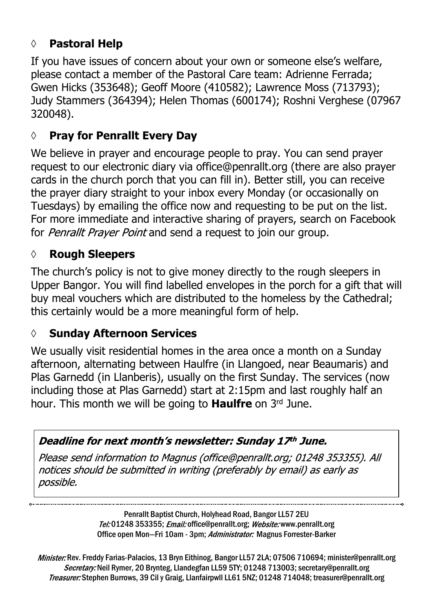## **◊ Pastoral Help**

If you have issues of concern about your own or someone else's welfare, please contact a member of the Pastoral Care team: Adrienne Ferrada; Gwen Hicks (353648); Geoff Moore (410582); Lawrence Moss (713793); Judy Stammers (364394); Helen Thomas (600174); Roshni Verghese (07967 320048).

## **◊ Pray for Penrallt Every Day**

We believe in prayer and encourage people to pray. You can send prayer request to our electronic diary via office@penrallt.org (there are also prayer cards in the church porch that you can fill in). Better still, you can receive the prayer diary straight to your inbox every Monday (or occasionally on Tuesdays) by emailing the office now and requesting to be put on the list. For more immediate and interactive sharing of prayers, search on Facebook for *Penrallt Prayer Point* and send a request to join our group.

### **◊ Rough Sleepers**

The church's policy is not to give money directly to the rough sleepers in Upper Bangor. You will find labelled envelopes in the porch for a gift that will buy meal vouchers which are distributed to the homeless by the Cathedral; this certainly would be a more meaningful form of help.

#### **◊ Sunday Afternoon Services**

We usually visit residential homes in the area once a month on a Sunday afternoon, alternating between Haulfre (in Llangoed, near Beaumaris) and Plas Garnedd (in Llanberis), usually on the first Sunday. The services (now including those at Plas Garnedd) start at 2:15pm and last roughly half an hour. This month we will be going to **Haulfre** on 3rd June.

#### Deadline for next month's newsletter: Sunday 17th June.

Please send information to Magnus (office@penrallt.org; 01248 353355). All notices should be submitted in writing (preferably by email) as early as possible.

> Penrallt Baptist Church, Holyhead Road, Bangor LL57 2EU Tel:01248 353355; Email: office@penrallt.org; Website: www.penrallt.org Office open Mon-Fri 10am - 3pm; Administrator: Magnus Forrester-Barker

Minister: Rev. Freddy Farias-Palacios, 13 Bryn Eithinog, Bangor LL57 2LA; 07506 710694; minister@penrallt.org Secretary: Neil Rymer, 20 Brynteg, Llandegfan LL59 5TY; 01248 713003; secretary@penrallt.org Treasurer: Stephen Burrows, 39 Cil y Graig, Llanfairpwll LL61 5NZ; 01248 714048; treasurer@penrallt.org